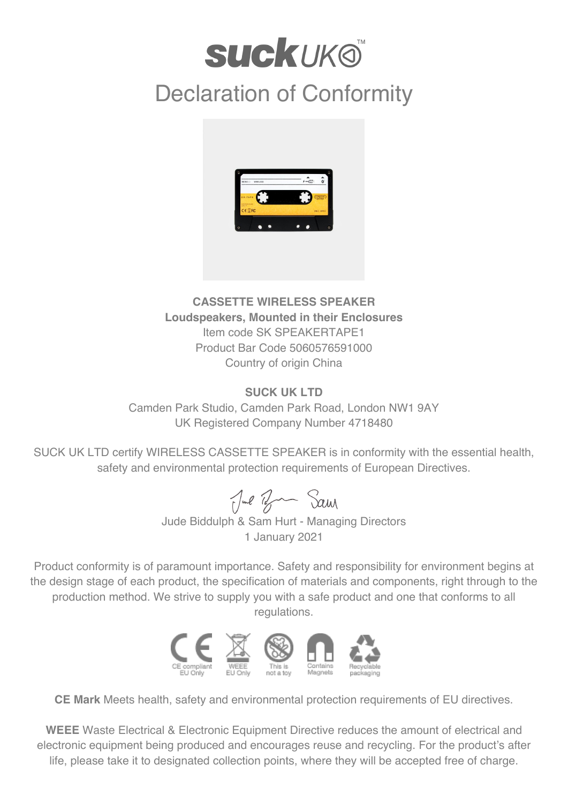# **SUCKUKO**

# Declaration of Conformity



#### **CASSETTE WIRELESS SPEAKER Loudspeakers, Mounted in their Enclosures** Item code SK SPEAKERTAPE1 Product Bar Code 5060576591000 Country of origin China

### **SUCK UK LTD**

Camden Park Studio, Camden Park Road, London NW1 9AY UK Registered Company Number 4718480

SUCK UK LTD certify WIRELESS CASSETTE SPEAKER is in conformity with the essential health, safety and environmental protection requirements of European Directives.

Jul Br Sam

Jude Biddulph & Sam Hurt - Managing Directors 1 January 2021

Product conformity is of paramount importance. Safety and responsibility for environment begins at the design stage of each product, the specification of materials and components, right through to the production method. We strive to supply you with a safe product and one that conforms to all regulations.



**CE Mark** Meets health, safety and environmental protection requirements of EU directives.

**WEEE** Waste Electrical & Electronic Equipment Directive reduces the amount of electrical and electronic equipment being produced and encourages reuse and recycling. For the product's after life, please take it to designated collection points, where they will be accepted free of charge.